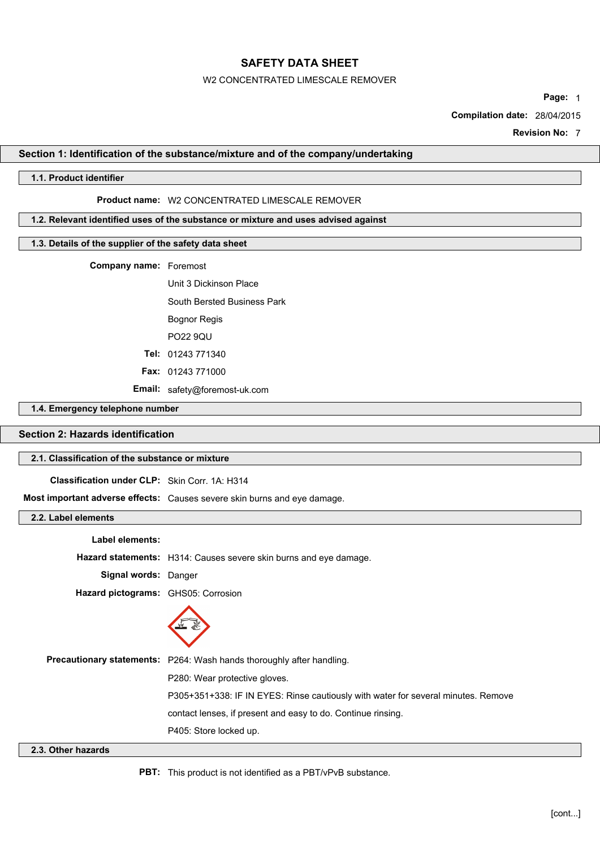#### W2 CONCENTRATED LIMESCALE REMOVER

**Page:** 1

**Compilation date:** 28/04/2015

**Revision No:** 7

# **Section 1: Identification of the substance/mixture and of the company/undertaking**

#### **1.1. Product identifier**

### **Product name:** W2 CONCENTRATED LIMESCALE REMOVER

## **1.2. Relevant identified uses of the substance or mixture and uses advised against**

## **1.3. Details of the supplier of the safety data sheet**

**Company name:** Foremost

Unit 3 Dickinson Place South Bersted Business Park Bognor Regis PO22 9QU **Tel:** 01243 771340

**Fax:** 01243 771000

**Email:** safety@foremost-uk.com

#### **1.4. Emergency telephone number**

# **Section 2: Hazards identification**

# **2.1. Classification of the substance or mixture**

**Classification under CLP:** Skin Corr. 1A: H314

**Most important adverse effects:** Causes severe skin burns and eye damage.

## **2.2. Label elements**

| Label elements:                     |                                                                                   |
|-------------------------------------|-----------------------------------------------------------------------------------|
|                                     | Hazard statements: H314: Causes severe skin burns and eye damage.                 |
| Signal words: Danger                |                                                                                   |
| Hazard pictograms: GHS05: Corrosion |                                                                                   |
|                                     |                                                                                   |
|                                     | Precautionary statements: P264: Wash hands thoroughly after handling.             |
|                                     | P280: Wear protective gloves.                                                     |
|                                     | P305+351+338: IF IN EYES: Rinse cautiously with water for several minutes. Remove |
|                                     | contact lenses, if present and easy to do. Continue rinsing.                      |
|                                     |                                                                                   |

P405: Store locked up.

# **2.3. Other hazards**

**PBT:** This product is not identified as a PBT/vPvB substance.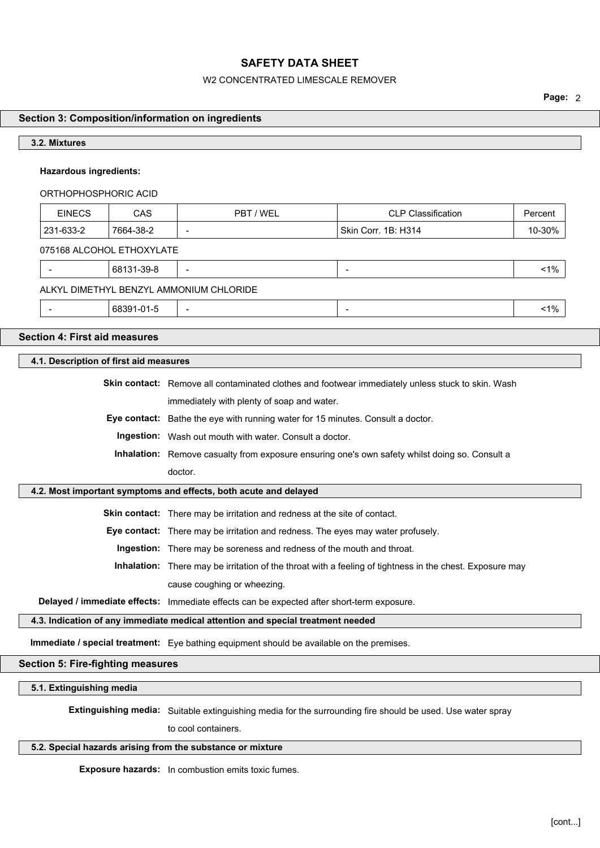#### W2 CONCENTRATED LIMESCALE REMOVER

**Page:** 2

# **Section 3: Composition/information on ingredients**

#### **3.2. Mixtures**

### **Hazardous ingredients:**

ORTHOPHOSPHORIC ACID

| <b>EINECS</b>             | CAS       | PBT / WEL | <b>CLP Classification</b> | Percent |  |  |
|---------------------------|-----------|-----------|---------------------------|---------|--|--|
| 231-633-2                 | 7664-38-2 | -         | Skin Corr. 1B: H314       | 10-30%  |  |  |
| 075168 ALCOHOL ETHOXYLATE |           |           |                           |         |  |  |

| $-39 -$<br>. 681<br>__ |  | $1\%$<br>. |
|------------------------|--|------------|
|                        |  |            |

# ALKYL DIMETHYL BENZYL AMMONIUM CHLORIDE

- 68391-01-5 - - <1%

## **Section 4: First aid measures**

# **4.1. Description of first aid measures**

**Skin contact:** Remove all contaminated clothes and footwear immediately unless stuck to skin. Wash

immediately with plenty of soap and water.

**Eye contact:** Bathe the eye with running water for 15 minutes. Consult a doctor.

**Ingestion:** Wash out mouth with water. Consult a doctor.

**Inhalation:** Remove casualty from exposure ensuring one's own safety whilst doing so. Consult a doctor.

#### **4.2. Most important symptoms and effects, both acute and delayed**

**Skin contact:** There may be irritation and redness at the site of contact.

**Eye contact:** There may be irritation and redness. The eyes may water profusely.

**Ingestion:** There may be soreness and redness of the mouth and throat.

**Inhalation:** There may be irritation of the throat with a feeling of tightness in the chest. Exposure may cause coughing or wheezing.

**Delayed / immediate effects:** Immediate effects can be expected after short-term exposure.

#### **4.3. Indication of any immediate medical attention and special treatment needed**

**Immediate / special treatment:** Eye bathing equipment should be available on the premises.

#### **Section 5: Fire-fighting measures**

**5.1. Extinguishing media**

**Extinguishing media:** Suitable extinguishing media for the surrounding fire should be used. Use water spray

to cool containers.

## **5.2. Special hazards arising from the substance or mixture**

**Exposure hazards:** In combustion emits toxic fumes.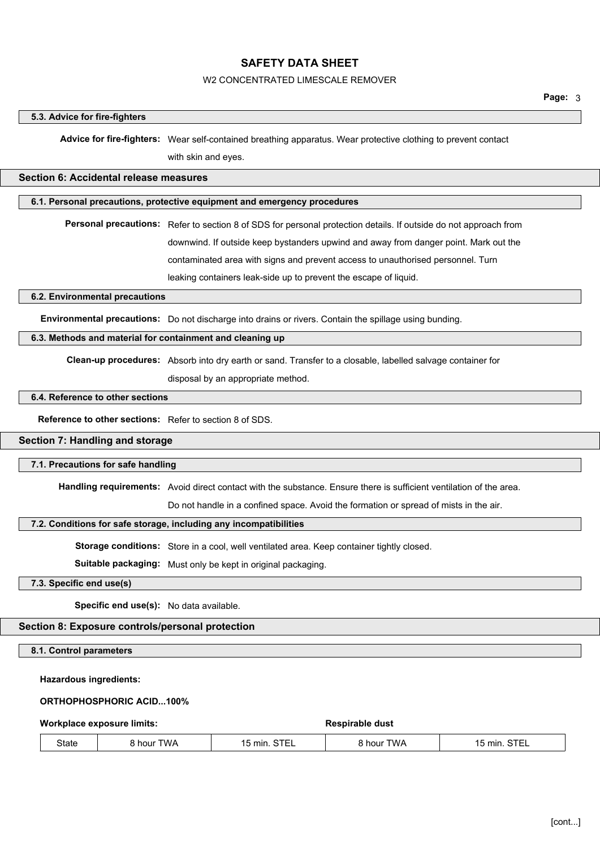#### W2 CONCENTRATED LIMESCALE REMOVER

#### **5.3. Advice for fire-fighters**

**Advice for fire-fighters:** Wear self-contained breathing apparatus. Wear protective clothing to prevent contact

with skin and eyes.

#### **Section 6: Accidental release measures**

#### **6.1. Personal precautions, protective equipment and emergency procedures**

**Personal precautions:** Refer to section 8 of SDS for personal protection details. If outside do not approach from downwind. If outside keep bystanders upwind and away from danger point. Mark out the contaminated area with signs and prevent access to unauthorised personnel. Turn leaking containers leak-side up to prevent the escape of liquid.

#### **6.2. Environmental precautions**

**Environmental precautions:** Do not discharge into drains or rivers. Contain the spillage using bunding.

#### **6.3. Methods and material for containment and cleaning up**

**Clean-up procedures:** Absorb into dry earth or sand. Transfer to a closable, labelled salvage container for

disposal by an appropriate method.

#### **6.4. Reference to other sections**

**Reference to other sections:** Refer to section 8 of SDS.

#### **Section 7: Handling and storage**

#### **7.1. Precautions for safe handling**

**Handling requirements:** Avoid direct contact with the substance. Ensure there is sufficient ventilation of the area.

Do not handle in a confined space. Avoid the formation or spread of mists in the air.

### **7.2. Conditions for safe storage, including any incompatibilities**

**Storage conditions:** Store in a cool, well ventilated area. Keep container tightly closed.

**Suitable packaging:** Must only be kept in original packaging.

**7.3. Specific end use(s)**

**Specific end use(s):** No data available.

# **Section 8: Exposure controls/personal protection**

**8.1. Control parameters**

# **Hazardous ingredients:**

# **ORTHOPHOSPHORIC ACID...100%**

**Workplace exposure limits: Respirable dust**

| -<br>State | TWA<br>hour | $\sim$ $ -$<br>min<br>1 L<br>51F<br>-- | TWA.<br>∩⊔r | mır<br>$\epsilon$<br>. |  |
|------------|-------------|----------------------------------------|-------------|------------------------|--|
|------------|-------------|----------------------------------------|-------------|------------------------|--|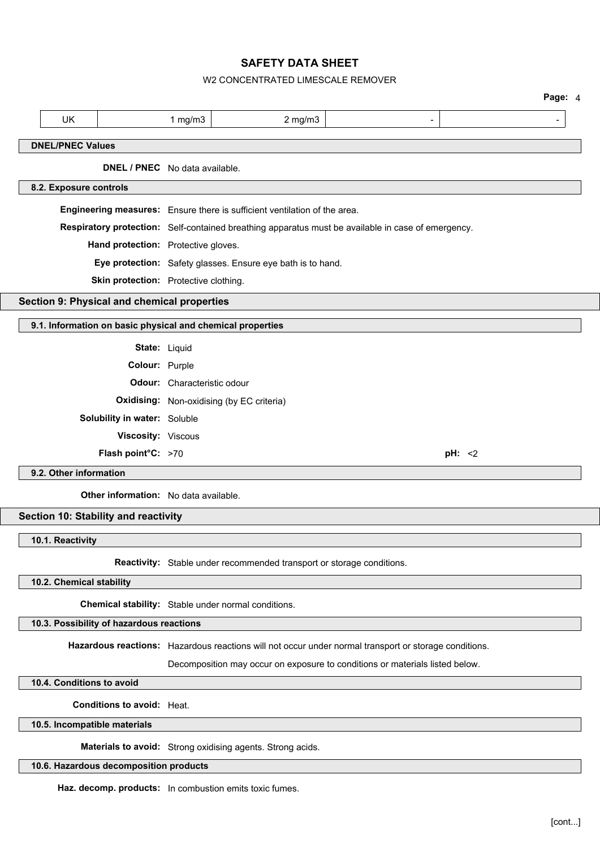# W2 CONCENTRATED LIMESCALE REMOVER

|                                                            |                             |                                                                                                       | Page: 4 |
|------------------------------------------------------------|-----------------------------|-------------------------------------------------------------------------------------------------------|---------|
| <b>UK</b>                                                  | 1 $mg/m3$                   | $2$ mg/m $3$                                                                                          |         |
| <b>DNEL/PNEC Values</b>                                    |                             |                                                                                                       |         |
| DNEL / PNEC No data available.                             |                             |                                                                                                       |         |
| 8.2. Exposure controls                                     |                             |                                                                                                       |         |
|                                                            |                             | Engineering measures: Ensure there is sufficient ventilation of the area.                             |         |
|                                                            |                             | Respiratory protection: Self-contained breathing apparatus must be available in case of emergency.    |         |
| Hand protection: Protective gloves.                        |                             |                                                                                                       |         |
|                                                            |                             | Eye protection: Safety glasses. Ensure eye bath is to hand.                                           |         |
| Skin protection: Protective clothing.                      |                             |                                                                                                       |         |
| Section 9: Physical and chemical properties                |                             |                                                                                                       |         |
| 9.1. Information on basic physical and chemical properties |                             |                                                                                                       |         |
|                                                            |                             |                                                                                                       |         |
|                                                            | State: Liquid               |                                                                                                       |         |
| Colour: Purple                                             |                             |                                                                                                       |         |
|                                                            | Odour: Characteristic odour |                                                                                                       |         |
|                                                            |                             | <b>Oxidising:</b> Non-oxidising (by EC criteria)                                                      |         |
| Solubility in water: Soluble                               |                             |                                                                                                       |         |
| Viscosity: Viscous                                         |                             |                                                                                                       |         |
| Flash point°C: >70                                         |                             |                                                                                                       | pH: < 2 |
| 9.2. Other information                                     |                             |                                                                                                       |         |
| <b>Other information:</b> No data available.               |                             |                                                                                                       |         |
| Section 10: Stability and reactivity                       |                             |                                                                                                       |         |
| 10.1. Reactivity                                           |                             |                                                                                                       |         |
|                                                            |                             | Reactivity: Stable under recommended transport or storage conditions.                                 |         |
| 10.2. Chemical stability                                   |                             |                                                                                                       |         |
|                                                            |                             | Chemical stability: Stable under normal conditions.                                                   |         |
| 10.3. Possibility of hazardous reactions                   |                             |                                                                                                       |         |
|                                                            |                             | Hazardous reactions: Hazardous reactions will not occur under normal transport or storage conditions. |         |
|                                                            |                             | Decomposition may occur on exposure to conditions or materials listed below.                          |         |

**10.4. Conditions to avoid**

e<br>Sa

**Conditions to avoid:** Heat.

**10.5. Incompatible materials**

**Materials to avoid:** Strong oxidising agents. Strong acids.

# **10.6. Hazardous decomposition products**

**Haz. decomp. products:** In combustion emits toxic fumes.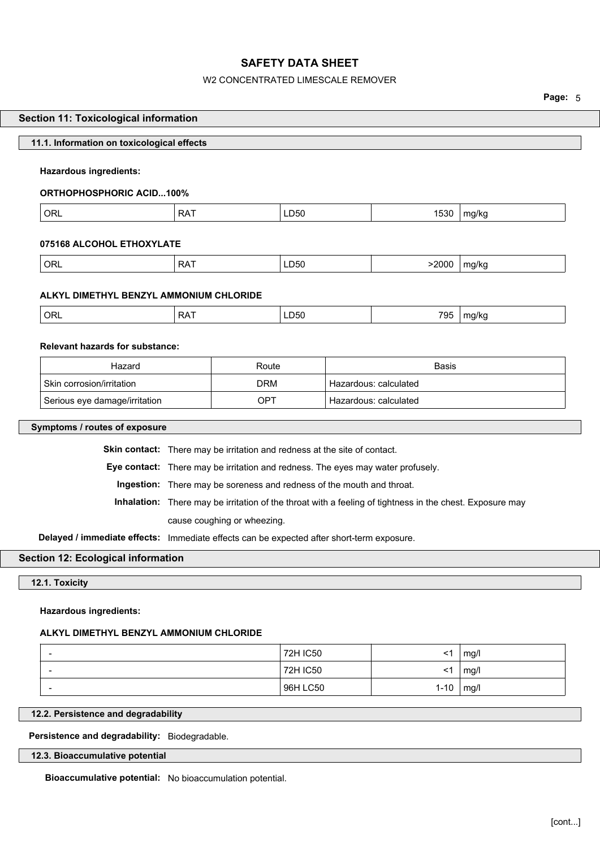# W2 CONCENTRATED LIMESCALE REMOVER

**Page:** 5

| <b>Section 11: Toxicological information</b>                                              |                             |                                                                                 |                                    |                       |                                                                                                          |              |
|-------------------------------------------------------------------------------------------|-----------------------------|---------------------------------------------------------------------------------|------------------------------------|-----------------------|----------------------------------------------------------------------------------------------------------|--------------|
| 11.1. Information on toxicological effects                                                |                             |                                                                                 |                                    |                       |                                                                                                          |              |
| Hazardous ingredients:                                                                    |                             |                                                                                 |                                    |                       |                                                                                                          |              |
|                                                                                           |                             |                                                                                 |                                    |                       |                                                                                                          |              |
| <b>ORTHOPHOSPHORIC ACID100%</b>                                                           |                             |                                                                                 |                                    |                       |                                                                                                          |              |
| <b>ORL</b>                                                                                | <b>RAT</b>                  |                                                                                 | LD50                               |                       | 1530                                                                                                     | mg/kg        |
| 075168 ALCOHOL ETHOXYLATE                                                                 |                             |                                                                                 |                                    |                       |                                                                                                          |              |
| <b>ORL</b>                                                                                | <b>RAT</b>                  |                                                                                 | LD50                               |                       | >2000                                                                                                    | mg/kg        |
| ALKYL DIMETHYL BENZYL AMMONIUM CHLORIDE                                                   |                             |                                                                                 |                                    |                       |                                                                                                          |              |
| ORL                                                                                       | <b>RAT</b>                  |                                                                                 | LD50                               |                       | 795                                                                                                      | mg/kg        |
| <b>Relevant hazards for substance:</b>                                                    |                             |                                                                                 |                                    |                       |                                                                                                          |              |
| Hazard                                                                                    |                             | Route                                                                           |                                    |                       | Basis                                                                                                    |              |
| Skin corrosion/irritation                                                                 |                             | <b>DRM</b>                                                                      |                                    | Hazardous: calculated |                                                                                                          |              |
| Serious eye damage/irritation                                                             |                             | <b>OPT</b>                                                                      |                                    | Hazardous: calculated |                                                                                                          |              |
| Symptoms / routes of exposure                                                             |                             |                                                                                 |                                    |                       |                                                                                                          |              |
|                                                                                           |                             | Skin contact: There may be irritation and redness at the site of contact.       |                                    |                       |                                                                                                          |              |
|                                                                                           |                             | Eye contact: There may be irritation and redness. The eyes may water profusely. |                                    |                       |                                                                                                          |              |
|                                                                                           |                             | Ingestion: There may be soreness and redness of the mouth and throat.           |                                    |                       |                                                                                                          |              |
|                                                                                           |                             |                                                                                 |                                    |                       | Inhalation: There may be irritation of the throat with a feeling of tightness in the chest. Exposure may |              |
|                                                                                           | cause coughing or wheezing. |                                                                                 |                                    |                       |                                                                                                          |              |
| Delayed / immediate effects: Immediate effects can be expected after short-term exposure. |                             |                                                                                 |                                    |                       |                                                                                                          |              |
| Section 12: Ecological information                                                        |                             |                                                                                 |                                    |                       |                                                                                                          |              |
| 12.1. Toxicity                                                                            |                             |                                                                                 |                                    |                       |                                                                                                          |              |
| <b>Hazardous ingredients:</b>                                                             |                             |                                                                                 |                                    |                       |                                                                                                          |              |
| ALKYL DIMETHYL BENZYL AMMONIUM CHLORIDE                                                   |                             |                                                                                 |                                    |                       |                                                                                                          |              |
|                                                                                           |                             |                                                                                 | <b>72H IC50</b><br><b>72H IC50</b> |                       | <1<br>$<$ 1                                                                                              | mg/l<br>mg/l |
|                                                                                           |                             |                                                                                 |                                    |                       |                                                                                                          |              |
|                                                                                           |                             |                                                                                 | 96H LC50                           |                       | $1 - 10$                                                                                                 | mg/l         |

**Persistence and degradability:** Biodegradable.

**12.3. Bioaccumulative potential**

**Bioaccumulative potential:** No bioaccumulation potential.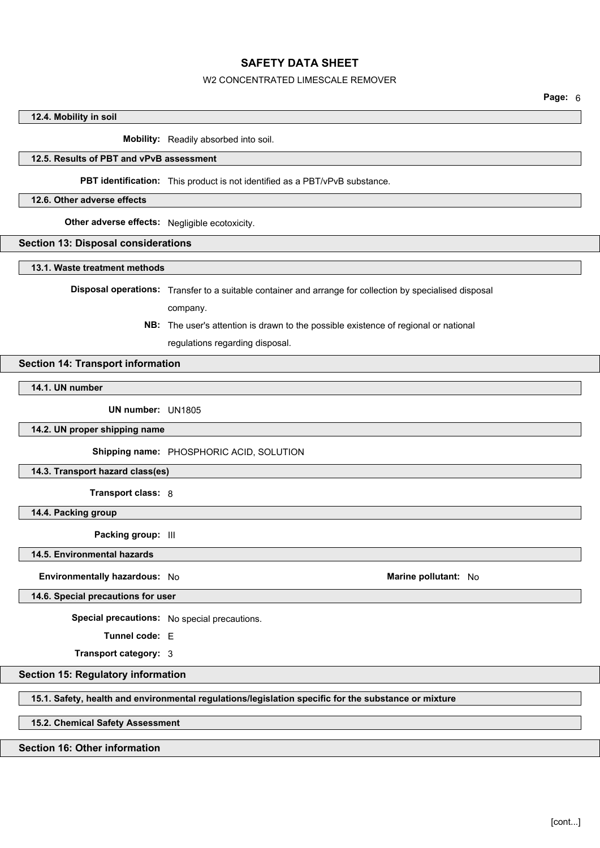# W2 CONCENTRATED LIMESCALE REMOVER

# **12.4. Mobility in soil**

**Mobility:** Readily absorbed into soil.

## **12.5. Results of PBT and vPvB assessment**

**PBT identification:** This product is not identified as a PBT/vPvB substance.

#### **12.6. Other adverse effects**

**Other adverse effects:** Negligible ecotoxicity.

#### **Section 13: Disposal considerations**

**13.1. Waste treatment methods**

**Disposal operations:** Transfer to a suitable container and arrange for collection by specialised disposal

company.

**NB:** The user's attention is drawn to the possible existence of regional or national

regulations regarding disposal.

### **Section 14: Transport information**

**14.1. UN number**

**UN number:** UN1805

**14.2. UN proper shipping name**

**Shipping name:** PHOSPHORIC ACID, SOLUTION

**14.3. Transport hazard class(es)**

**Transport class:** 8

**14.4. Packing group**

**Packing group:**  $|||$ 

**14.5. Environmental hazards**

**Environmentally hazardous:** No **Marine pollutant:** No

**14.6. Special precautions for user**

**Special precautions:** No special precautions.

**Tunnel code:** E

**Transport category:** 3

#### **Section 15: Regulatory information**

**15.1. Safety, health and environmental regulations/legislation specific for the substance or mixture**

**15.2. Chemical Safety Assessment**

# **Section 16: Other information**